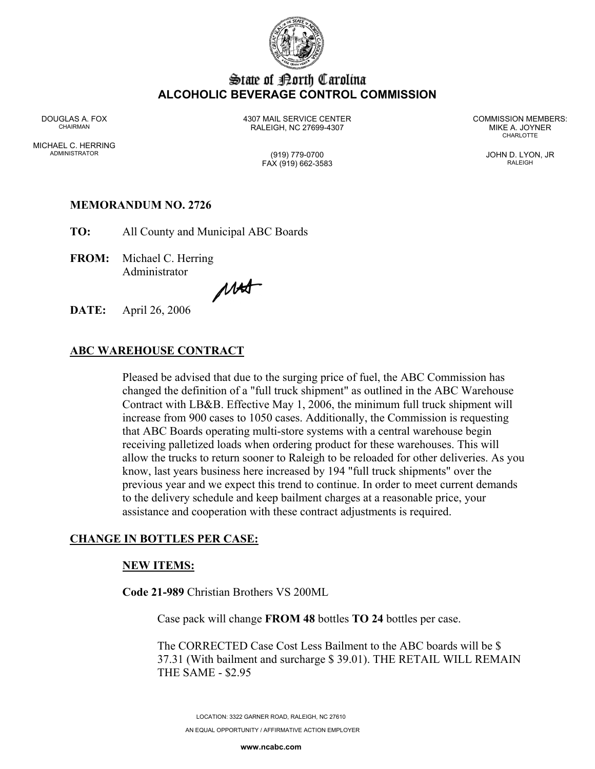

# State of Borth Carolina **ALCOHOLIC BEVERAGE CONTROL COMMISSION**

MICHAEL C. HERRING ADMINISTRATOR (919) 779-0700 JOHN D. LYON, JR

DOUGLAS A. FOX 4307 MAIL SERVICE CENTER COMMISSION MEMBERS: CHAIRMAN RALEIGH, NC 27699-4307 MIKE A. JOYNER

**CHARLOTTE** 

# FAX (919) 662-3583 RALEIGH

# **MEMORANDUM NO. 2726**

**TO:** All County and Municipal ABC Boards

**FROM:** Michael C. Herring Administrator

MAST

**DATE:** April 26, 2006

#### **ABC WAREHOUSE CONTRACT**

Pleased be advised that due to the surging price of fuel, the ABC Commission has changed the definition of a "full truck shipment" as outlined in the ABC Warehouse Contract with LB&B. Effective May 1, 2006, the minimum full truck shipment will increase from 900 cases to 1050 cases. Additionally, the Commission is requesting that ABC Boards operating multi-store systems with a central warehouse begin receiving palletized loads when ordering product for these warehouses. This will allow the trucks to return sooner to Raleigh to be reloaded for other deliveries. As you know, last years business here increased by 194 "full truck shipments" over the previous year and we expect this trend to continue. In order to meet current demands to the delivery schedule and keep bailment charges at a reasonable price, your assistance and cooperation with these contract adjustments is required.

### **CHANGE IN BOTTLES PER CASE:**

#### **NEW ITEMS:**

**Code 21-989** Christian Brothers VS 200ML

Case pack will change **FROM 48** bottles **TO 24** bottles per case.

The CORRECTED Case Cost Less Bailment to the ABC boards will be \$ 37.31 (With bailment and surcharge \$ 39.01). THE RETAIL WILL REMAIN THE SAME - \$2.95

LOCATION: 3322 GARNER ROAD, RALEIGH, NC 27610 AN EQUAL OPPORTUNITY / AFFIRMATIVE ACTION EMPLOYER